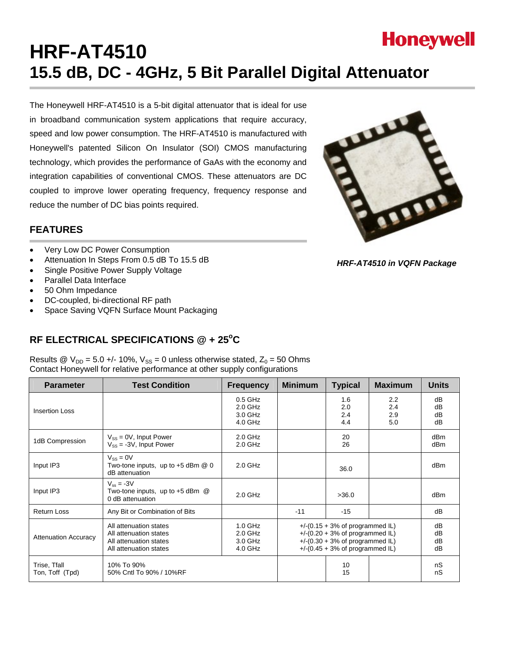

# **HRF-AT4510 15.5 dB, DC - 4GHz, 5 Bit Parallel Digital Attenuator**

The Honeywell HRF-AT4510 is a 5-bit digital attenuator that is ideal for use in broadband communication system applications that require accuracy, speed and low power consumption. The HRF-AT4510 is manufactured with Honeywell's patented Silicon On Insulator (SOI) CMOS manufacturing technology, which provides the performance of GaAs with the economy and integration capabilities of conventional CMOS. These attenuators are DC coupled to improve lower operating frequency, frequency response and reduce the number of DC bias points required.



- Very Low DC Power Consumption
- Attenuation In Steps From 0.5 dB To 15.5 dB
- Single Positive Power Supply Voltage
- Parallel Data Interface
- 50 Ohm Impedance
- DC-coupled, bi-directional RF path
- Space Saving VQFN Surface Mount Packaging

### RF ELECTRICAL SPECIFICATIONS @ + 25°C

Results @  $V_{DD} = 5.0 +/- 10\%$ ,  $V_{SS} = 0$  unless otherwise stated,  $Z_0 = 50$  Ohms Contact Honeywell for relative performance at other supply configurations

| <b>Parameter</b>                | <b>Test Condition</b>                                                                                | <b>Frequency</b>                             | <b>Minimum</b>                                                                                                                                       | <b>Typical</b>           | <b>Maximum</b>           | <b>Units</b>         |
|---------------------------------|------------------------------------------------------------------------------------------------------|----------------------------------------------|------------------------------------------------------------------------------------------------------------------------------------------------------|--------------------------|--------------------------|----------------------|
| <b>Insertion Loss</b>           |                                                                                                      | $0.5$ GHz<br>$2.0$ GHz<br>3.0 GHz<br>4.0 GHz |                                                                                                                                                      | 1.6<br>2.0<br>2.4<br>4.4 | 2.2<br>2.4<br>2.9<br>5.0 | dB<br>dB<br>dB<br>dB |
| 1dB Compression                 | $V_{SS} = 0V$ , Input Power<br>$V_{SS}$ = -3V, Input Power                                           | $2.0$ GHz<br>$2.0$ GHz                       |                                                                                                                                                      | 20<br>26                 |                          | dBm<br>dBm           |
| Input IP3                       | $V_{SS} = 0V$<br>Two-tone inputs, up to $+5$ dBm $@$ 0<br>dB attenuation                             | $2.0$ GHz                                    |                                                                                                                                                      | 36.0                     |                          | dBm                  |
| Input IP3                       | $V_{ss} = -3V$<br>Two-tone inputs, up to $+5$ dBm $@$<br>0 dB attenuation                            | $2.0$ GHz                                    |                                                                                                                                                      | >36.0                    |                          | dBm                  |
| <b>Return Loss</b>              | Any Bit or Combination of Bits                                                                       |                                              | $-11$                                                                                                                                                | $-15$                    |                          | dB                   |
| <b>Attenuation Accuracy</b>     | All attenuation states<br>All attenuation states<br>All attenuation states<br>All attenuation states | $1.0$ GHz<br>$2.0$ GHz<br>3.0 GHz<br>4.0 GHz | $+$ /-(0.15 + 3% of programmed IL)<br>$+$ /-(0.20 + 3% of programmed IL)<br>$+$ /-(0.30 + 3% of programmed IL)<br>$+$ /-(0.45 + 3% of programmed IL) |                          | dB<br>dB<br>dB<br>dB     |                      |
| Trise, Tfall<br>Ton, Toff (Tpd) | 10% To 90%<br>50% Cntl To 90% / 10%RF                                                                |                                              |                                                                                                                                                      | 10<br>15                 |                          | nS<br>nS             |

*HRF-AT4510 in VQFN Package*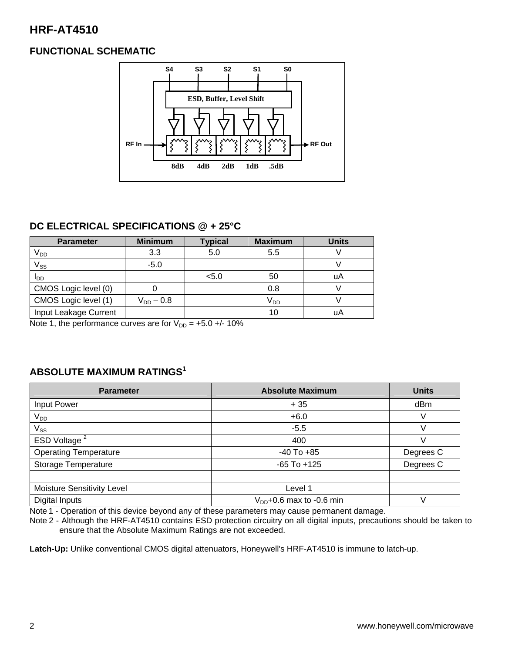### **FUNCTIONAL SCHEMATIC**



### **DC ELECTRICAL SPECIFICATIONS @ + 25°C**

| <b>Parameter</b>      | <b>Minimum</b> | <b>Typical</b> | <b>Maximum</b>  | <b>Units</b> |
|-----------------------|----------------|----------------|-----------------|--------------|
| V <sub>DD</sub>       | 3.3            | 5.0            | 5.5             |              |
| $V_{SS}$              | $-5.0$         |                |                 |              |
| I <sub>DD</sub>       |                | < 5.0          | 50              | uA           |
| CMOS Logic level (0)  |                |                | 0.8             |              |
| CMOS Logic level (1)  | $V_{DD} - 0.8$ |                | V <sub>DD</sub> |              |
| Input Leakage Current |                |                | 10              | uA           |

Note 1, the performance curves are for  $V_{DD} = +5.0 +/- 10\%$ 

### **ABSOLUTE MAXIMUM RATINGS1**

| <b>Parameter</b>                  | <b>Absolute Maximum</b>       | <b>Units</b> |
|-----------------------------------|-------------------------------|--------------|
| Input Power                       | $+35$                         | dBm          |
| $V_{DD}$                          | $+6.0$                        |              |
| $V_{SS}$                          | $-5.5$                        |              |
| ESD Voltage <sup>2</sup>          | 400                           |              |
| <b>Operating Temperature</b>      | $-40$ To $+85$                | Degrees C    |
| Storage Temperature               | $-65$ To $+125$               | Degrees C    |
|                                   |                               |              |
| <b>Moisture Sensitivity Level</b> | Level 1                       |              |
| Digital Inputs                    | $V_{DD}$ +0.6 max to -0.6 min |              |

Note 1 - Operation of this device beyond any of these parameters may cause permanent damage.

Note 2 - Although the HRF-AT4510 contains ESD protection circuitry on all digital inputs, precautions should be taken to ensure that the Absolute Maximum Ratings are not exceeded.

**Latch-Up:** Unlike conventional CMOS digital attenuators, Honeywell's HRF-AT4510 is immune to latch-up.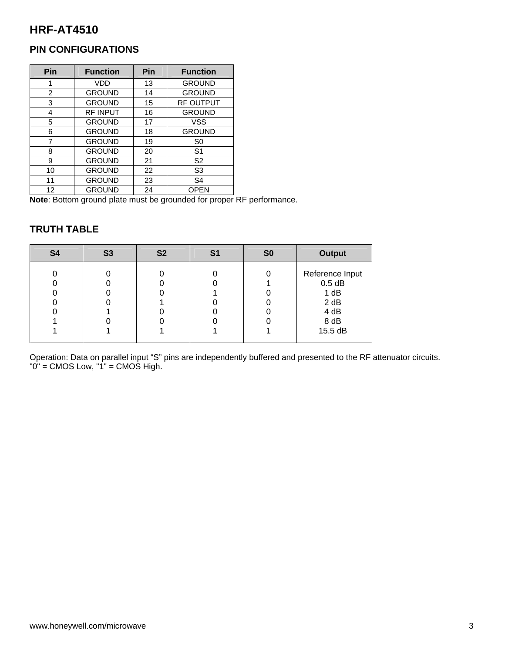### **PIN CONFIGURATIONS**

| Pin | <b>Function</b> | Pin | <b>Function</b>  |
|-----|-----------------|-----|------------------|
| 1   | VDD             | 13  | <b>GROUND</b>    |
| 2   | <b>GROUND</b>   | 14  | <b>GROUND</b>    |
| 3   | <b>GROUND</b>   | 15  | <b>RF OUTPUT</b> |
| 4   | <b>RF INPUT</b> | 16  | <b>GROUND</b>    |
| 5   | <b>GROUND</b>   | 17  | VSS              |
| 6   | <b>GROUND</b>   | 18  | <b>GROUND</b>    |
| 7   | <b>GROUND</b>   | 19  | S <sub>0</sub>   |
| 8   | <b>GROUND</b>   | 20  | S <sub>1</sub>   |
| 9   | <b>GROUND</b>   | 21  | S <sub>2</sub>   |
| 10  | <b>GROUND</b>   | 22  | S <sub>3</sub>   |
| 11  | <b>GROUND</b>   | 23  | S <sub>4</sub>   |
| 12  | <b>GROUND</b>   | 24  | <b>OPEN</b>      |

**Note**: Bottom ground plate must be grounded for proper RF performance.

### **TRUTH TABLE**

| <b>S4</b> | <b>S3</b> | <b>S2</b> | S1 | S <sub>0</sub> | <b>Output</b>                                                          |
|-----------|-----------|-----------|----|----------------|------------------------------------------------------------------------|
|           |           |           |    |                | Reference Input<br>$0.5$ dB<br>1 dB<br>2 dB<br>4 dB<br>8 dB<br>15.5 dB |

Operation: Data on parallel input "S" pins are independently buffered and presented to the RF attenuator circuits. "0" = CMOS Low, "1" = CMOS High.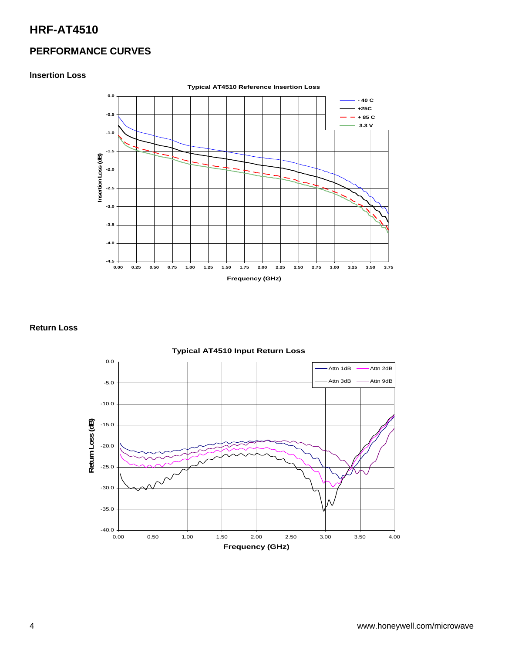### **PERFORMANCE CURVES**

#### **Insertion Loss**



#### **Return Loss**

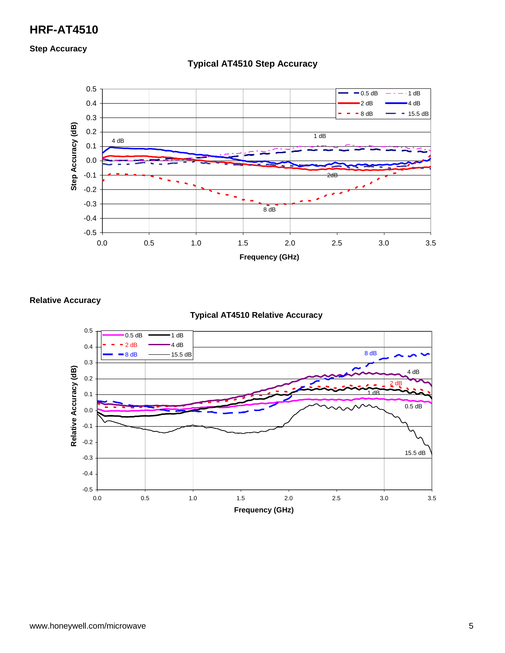**Step Accuracy** 



#### **Typical AT4510 Step Accuracy**

**Relative Accuracy** 

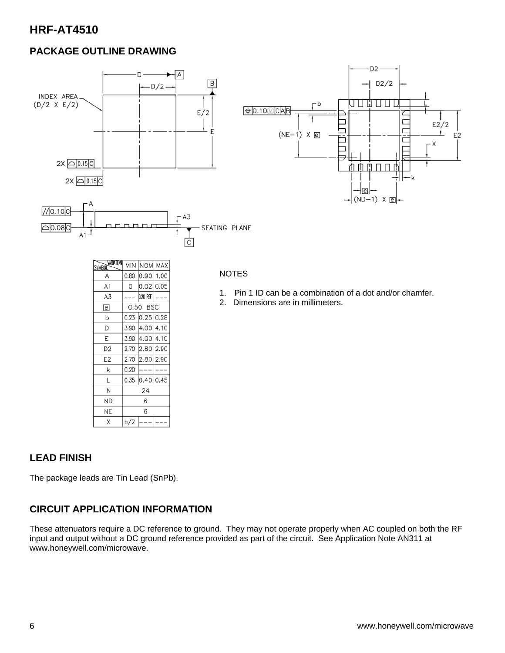### **PACKAGE OUTLINE DRAWING**



#### **LEAD FINISH**

The package leads are Tin Lead (SnPb).

### **CIRCUIT APPLICATION INFORMATION**

2.70

 $0.20$  $---$ 

 $b/2$  $\overline{\phantom{a}}$ 

E<sub>2</sub>

k

L

 $\mathsf N$ 

**ND** 

**NE** 

 $\mathsf X$ 

2.80 2.90

 $0.35$  0.40 0.45

24

6

6

 $-$ 

These attenuators require a DC reference to ground. They may not operate properly when AC coupled on both the RF input and output without a DC ground reference provided as part of the circuit. See Application Note AN311 at www.honeywell.com/microwave.